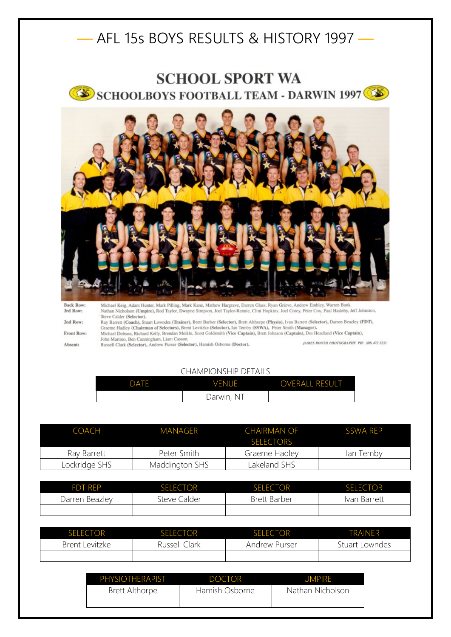## — AFL 15s BOYS RESULTS & HISTORY 1997 —





**Back Row** 3rd Row: 2nd Row: Front Row: Absent:

Michael Keig, Adam Hunter, Mark Pilling, Mark Kane, Mathew Hargrave, Darren Glass, Ryan Grieve, Andrew Embley, Warren Bank.<br>Nathan Nicholson (Umpire), Rod Taylor, Dwayne Simpson, Joel Taylor-Rennie, Clint Hopkins, Joel Cor Steve Calder (Selector).

Stav Barrett (Coach), Stuart Lowndes (Trainer), Brett Barber (Selector), Brett Althorpe (Physio), Ivan Barrett (Selector), Darren Beazley (FDT), Graeme Hadley (Chairman of Selectors), Brent Levitzke (Selector), Ian Temby ( Michael Dobson, Richard Kelly, Brendan Meikle, Scott Goldsmith (Vice Captain), Brett Johnson (Captain), Des Headland (Vice Captain),

John Martino, Ben Cunningham, Liam Casson.<br>Russell Clark (Selector), Andrew Purser (Selector), Hamish Osborne (Doctor).

JAMES BOOTH PHOTOGRAPHY PH: (09) 472 5233

## CHAMPIONSHIP DETAILS

| DATE | VENUE      | <b>OVERALL RESULT</b> |
|------|------------|-----------------------|
|      | Darwin, NT |                       |

| COACH         | MANAGER        | CHAIRMAN OF<br><b>SELECTORS</b> | SSWA RFP  |
|---------------|----------------|---------------------------------|-----------|
| Ray Barrett   | Peter Smith    | Graeme Hadley                   | lan Temby |
| Lockridge SHS | Maddington SHS | Lakeland SHS                    |           |

| <b>FDT RFP</b> | <b>SELECTOR</b> | <b>SELECTOR</b> | <b>SELECTOR</b> |
|----------------|-----------------|-----------------|-----------------|
| Darren Beazley | Steve Calder    | Brett Barber    | Ivan Barrett    |
|                |                 |                 |                 |

| <b>SELECTOR</b> | <b>SELECTOR</b> | <b>SELECTOR</b>      | <b>TRAINFR</b> |
|-----------------|-----------------|----------------------|----------------|
| Brent Levitzke  | Russell Clark   | <b>Andrew Purser</b> | Stuart Lowndes |
|                 |                 |                      |                |

| PHYSIOTHERAPIST       | <b>DOCTOR</b>  | UMPIRE           |
|-----------------------|----------------|------------------|
| <b>Brett Althorpe</b> | Hamish Osborne | Nathan Nicholson |
|                       |                |                  |